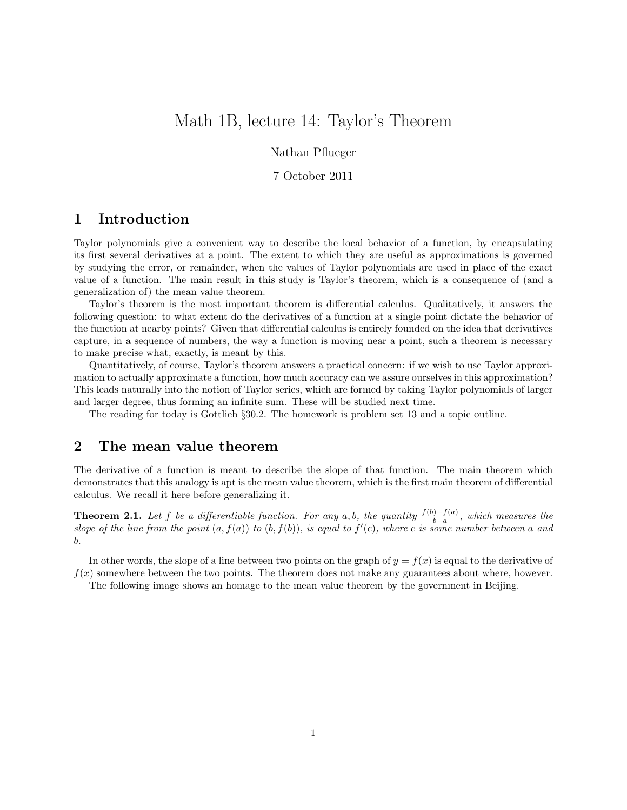# Math 1B, lecture 14: Taylor's Theorem

Nathan Pflueger

#### 7 October 2011

## 1 Introduction

Taylor polynomials give a convenient way to describe the local behavior of a function, by encapsulating its first several derivatives at a point. The extent to which they are useful as approximations is governed by studying the error, or remainder, when the values of Taylor polynomials are used in place of the exact value of a function. The main result in this study is Taylor's theorem, which is a consequence of (and a generalization of) the mean value theorem.

Taylor's theorem is the most important theorem is differential calculus. Qualitatively, it answers the following question: to what extent do the derivatives of a function at a single point dictate the behavior of the function at nearby points? Given that differential calculus is entirely founded on the idea that derivatives capture, in a sequence of numbers, the way a function is moving near a point, such a theorem is necessary to make precise what, exactly, is meant by this.

Quantitatively, of course, Taylor's theorem answers a practical concern: if we wish to use Taylor approximation to actually approximate a function, how much accuracy can we assure ourselves in this approximation? This leads naturally into the notion of Taylor series, which are formed by taking Taylor polynomials of larger and larger degree, thus forming an infinite sum. These will be studied next time.

The reading for today is Gottlieb §30.2. The homework is problem set 13 and a topic outline.

## 2 The mean value theorem

The derivative of a function is meant to describe the slope of that function. The main theorem which demonstrates that this analogy is apt is the mean value theorem, which is the first main theorem of differential calculus. We recall it here before generalizing it.

**Theorem 2.1.** Let f be a differentiable function. For any a,b, the quantity  $\frac{f(b)-f(a)}{b-a}$ , which measures the slope of the line from the point  $(a, f(a))$  to  $(b, f(b))$ , is equal to  $f'(c)$ , where c is some number between a and b.

In other words, the slope of a line between two points on the graph of  $y = f(x)$  is equal to the derivative of  $f(x)$  somewhere between the two points. The theorem does not make any guarantees about where, however.

The following image shows an homage to the mean value theorem by the government in Beijing.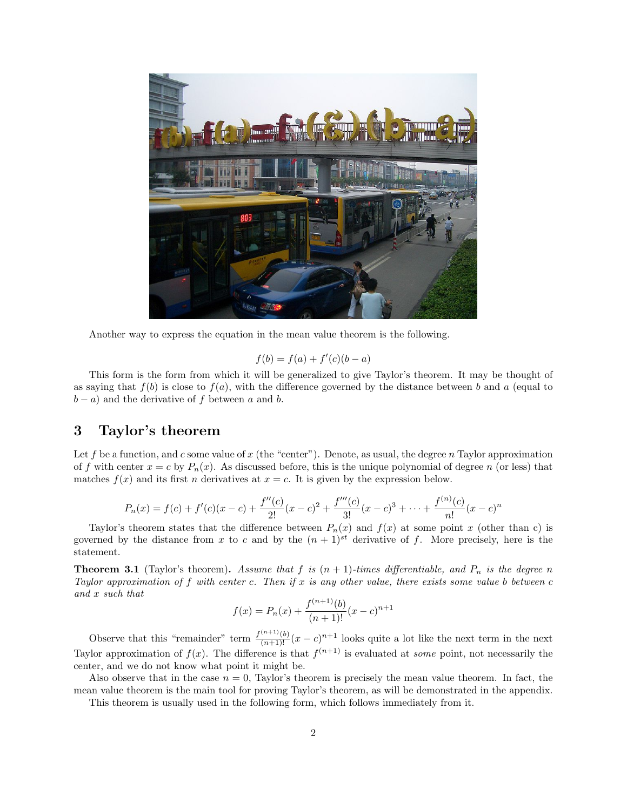

Another way to express the equation in the mean value theorem is the following.

$$
f(b) = f(a) + f'(c)(b - a)
$$

This form is the form from which it will be generalized to give Taylor's theorem. It may be thought of as saying that  $f(b)$  is close to  $f(a)$ , with the difference governed by the distance between b and a (equal to  $(b - a)$  and the derivative of f between a and b.

#### 3 Taylor's theorem

Let f be a function, and c some value of x (the "center"). Denote, as usual, the degree n Taylor approximation of f with center  $x = c$  by  $P_n(x)$ . As discussed before, this is the unique polynomial of degree n (or less) that matches  $f(x)$  and its first n derivatives at  $x = c$ . It is given by the expression below.

$$
P_n(x) = f(c) + f'(c)(x - c) + \frac{f''(c)}{2!}(x - c)^2 + \frac{f'''(c)}{3!}(x - c)^3 + \dots + \frac{f^{(n)}(c)}{n!}(x - c)^n
$$

Taylor's theorem states that the difference between  $P_n(x)$  and  $f(x)$  at some point x (other than c) is governed by the distance from x to c and by the  $(n + 1)^{st}$  derivative of f. More precisely, here is the statement.

**Theorem 3.1** (Taylor's theorem). Assume that f is  $(n + 1)$ -times differentiable, and  $P_n$  is the degree n Taylor approximation of f with center c. Then if x is any other value, there exists some value b between  $c$ and x such that

$$
f(x) = P_n(x) + \frac{f^{(n+1)}(b)}{(n+1)!}(x-c)^{n+1}
$$

Observe that this "remainder" term  $\frac{f^{(n+1)}(b)}{(n+1)!}(x-c)^{n+1}$  looks quite a lot like the next term in the next Taylor approximation of  $f(x)$ . The difference is that  $f^{(n+1)}$  is evaluated at some point, not necessarily the center, and we do not know what point it might be.

Also observe that in the case  $n = 0$ . Taylor's theorem is precisely the mean value theorem. In fact, the mean value theorem is the main tool for proving Taylor's theorem, as will be demonstrated in the appendix.

This theorem is usually used in the following form, which follows immediately from it.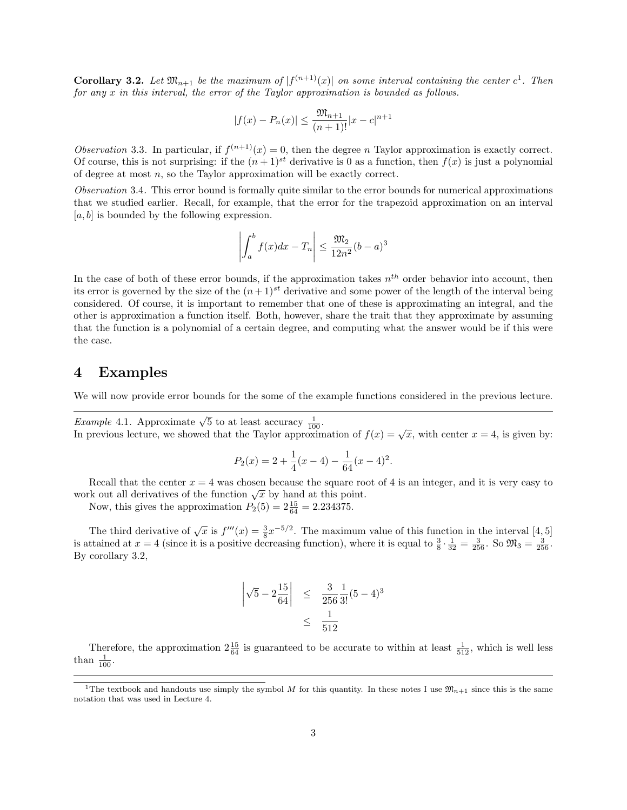**Corollary 3.2.** Let  $\mathfrak{M}_{n+1}$  be the maximum of  $|f^{(n+1)}(x)|$  on some interval containing the center  $c^1$ . Then for any x in this interval, the error of the Taylor approximation is bounded as follows.

$$
|f(x) - P_n(x)| \le \frac{\mathfrak{M}_{n+1}}{(n+1)!} |x - c|^{n+1}
$$

Observation 3.3. In particular, if  $f^{(n+1)}(x) = 0$ , then the degree n Taylor approximation is exactly correct. Of course, this is not surprising: if the  $(n+1)^{st}$  derivative is 0 as a function, then  $f(x)$  is just a polynomial of degree at most  $n$ , so the Taylor approximation will be exactly correct.

Observation 3.4. This error bound is formally quite similar to the error bounds for numerical approximations that we studied earlier. Recall, for example, that the error for the trapezoid approximation on an interval  $[a, b]$  is bounded by the following expression.

$$
\left| \int_{a}^{b} f(x)dx - T_n \right| \le \frac{\mathfrak{M}_2}{12n^2} (b-a)^3
$$

In the case of both of these error bounds, if the approximation takes  $n^{th}$  order behavior into account, then its error is governed by the size of the  $(n+1)^{st}$  derivative and some power of the length of the interval being considered. Of course, it is important to remember that one of these is approximating an integral, and the other is approximation a function itself. Both, however, share the trait that they approximate by assuming that the function is a polynomial of a certain degree, and computing what the answer would be if this were the case.

## 4 Examples

We will now provide error bounds for the some of the example functions considered in the previous lecture.

Example 4.1. Approximate  $\sqrt{5}$  to at least accuracy  $\frac{1}{100}$ . *Example* 4.1. Approximate  $\sqrt{3}$  to at least accuracy  $\frac{1}{100}$ .<br>In previous lecture, we showed that the Taylor approximation of  $f(x) = \sqrt{x}$ , with center  $x = 4$ , is given by:

$$
P_2(x) = 2 + \frac{1}{4}(x - 4) - \frac{1}{64}(x - 4)^2.
$$

Recall that the center  $x = 4$  was chosen because the square root of 4 is an integer, and it is very easy to Execut that the center  $x = 4$  was chosen because the square for work out all derivatives of the function  $\sqrt{x}$  by hand at this point.

Now, this gives the approximation  $P_2(5) = 2\frac{15}{64} = 2.234375$ .

The third derivative of  $\sqrt{x}$  is  $f'''(x) = \frac{3}{8}x^{-5/2}$ . The maximum value of this function in the interval [4, 5] is attained at  $x = 4$  (since it is a positive decreasing function), where it is equal to  $\frac{3}{8} \cdot \frac{1}{32} = \frac{3}{256}$ . So  $\mathfrak{M}_3 = \frac{3}{256}$ . By corollary 3.2,

$$
\left| \sqrt{5} - 2\frac{15}{64} \right| \le \frac{3}{256} \frac{1}{3!} (5 - 4)^3
$$
  
 
$$
\le \frac{1}{512}
$$

Therefore, the approximation  $2\frac{15}{64}$  is guaranteed to be accurate to within at least  $\frac{1}{512}$ , which is well less than  $\frac{1}{100}$ .

<sup>&</sup>lt;sup>1</sup>The textbook and handouts use simply the symbol M for this quantity. In these notes I use  $\mathfrak{M}_{n+1}$  since this is the same notation that was used in Lecture 4.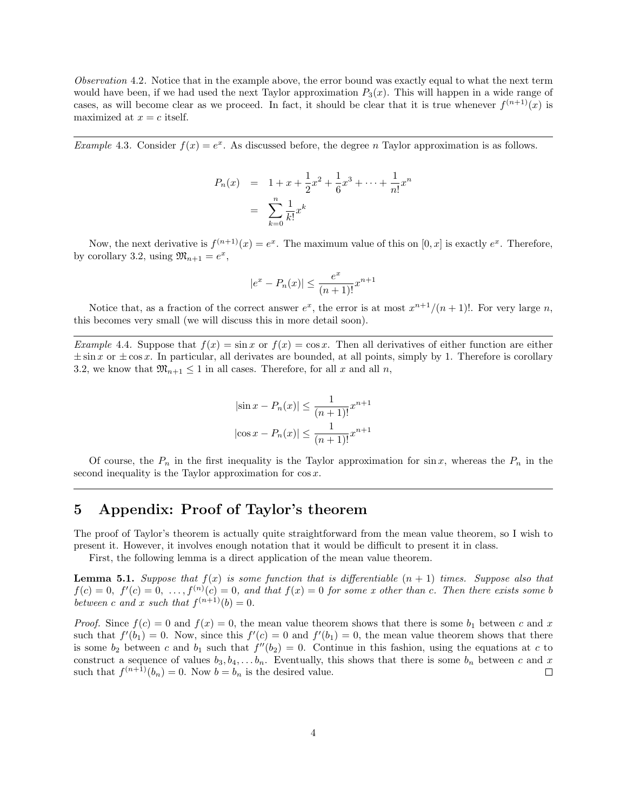Observation 4.2. Notice that in the example above, the error bound was exactly equal to what the next term would have been, if we had used the next Taylor approximation  $P_3(x)$ . This will happen in a wide range of cases, as will become clear as we proceed. In fact, it should be clear that it is true whenever  $f^{(n+1)}(x)$  is maximized at  $x = c$  itself.

*Example* 4.3. Consider  $f(x) = e^x$ . As discussed before, the degree *n* Taylor approximation is as follows.

$$
P_n(x) = 1 + x + \frac{1}{2}x^2 + \frac{1}{6}x^3 + \dots + \frac{1}{n!}x^n
$$
  
= 
$$
\sum_{k=0}^n \frac{1}{k!}x^k
$$

Now, the next derivative is  $f^{(n+1)}(x) = e^x$ . The maximum value of this on  $[0, x]$  is exactly  $e^x$ . Therefore, by corollary 3.2, using  $\mathfrak{M}_{n+1} = e^x$ ,

$$
|e^x - P_n(x)| \le \frac{e^x}{(n+1)!} x^{n+1}
$$

Notice that, as a fraction of the correct answer  $e^x$ , the error is at most  $x^{n+1}/(n+1)!$ . For very large n, this becomes very small (we will discuss this in more detail soon).

Example 4.4. Suppose that  $f(x) = \sin x$  or  $f(x) = \cos x$ . Then all derivatives of either function are either  $\pm \sin x$  or  $\pm \cos x$ . In particular, all derivates are bounded, at all points, simply by 1. Therefore is corollary 3.2, we know that  $\mathfrak{M}_{n+1} \leq 1$  in all cases. Therefore, for all x and all n,

$$
|\sin x - P_n(x)| \le \frac{1}{(n+1)!} x^{n+1}
$$

$$
|\cos x - P_n(x)| \le \frac{1}{(n+1)!} x^{n+1}
$$

Of course, the  $P_n$  in the first inequality is the Taylor approximation for sin x, whereas the  $P_n$  in the second inequality is the Taylor approximation for  $\cos x$ .

## 5 Appendix: Proof of Taylor's theorem

The proof of Taylor's theorem is actually quite straightforward from the mean value theorem, so I wish to present it. However, it involves enough notation that it would be difficult to present it in class.

First, the following lemma is a direct application of the mean value theorem.

**Lemma 5.1.** Suppose that  $f(x)$  is some function that is differentiable  $(n + 1)$  times. Suppose also that  $f(c) = 0, f'(c) = 0, ..., f^{(n)}(c) = 0, and that f(x) = 0 for some x other than c. Then there exists some b$ between c and x such that  $f^{(n+1)}(b) = 0$ .

*Proof.* Since  $f(c) = 0$  and  $f(x) = 0$ , the mean value theorem shows that there is some  $b_1$  between c and x such that  $f'(b_1) = 0$ . Now, since this  $f'(c) = 0$  and  $f'(b_1) = 0$ , the mean value theorem shows that there is some  $b_2$  between c and  $b_1$  such that  $f''(b_2) = 0$ . Continue in this fashion, using the equations at c to construct a sequence of values  $b_3, b_4, \ldots, b_n$ . Eventually, this shows that there is some  $b_n$  between c and x such that  $f^{(n+1)}(b_n) = 0$ . Now  $b = b_n$  is the desired value.  $\Box$